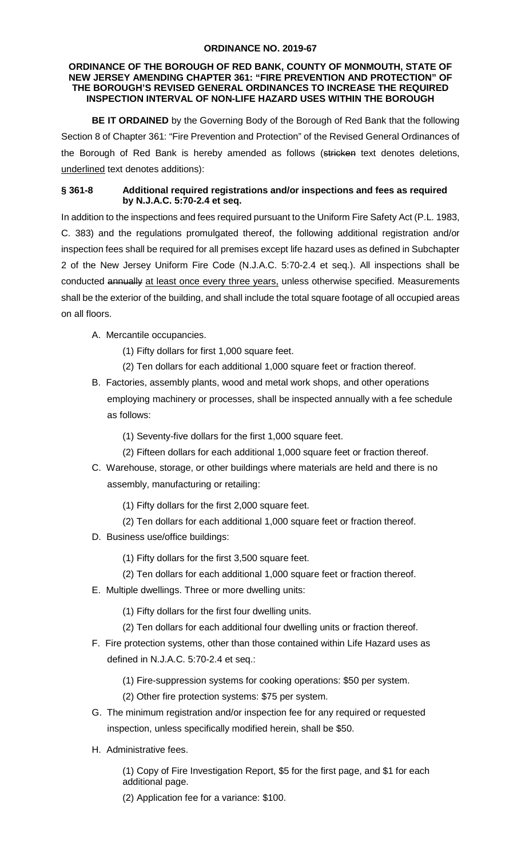## **ORDINANCE NO. 2019-67**

## **ORDINANCE OF THE BOROUGH OF RED BANK, COUNTY OF MONMOUTH, STATE OF NEW JERSEY AMENDING CHAPTER 361: "FIRE PREVENTION AND PROTECTION" OF THE BOROUGH'S REVISED GENERAL ORDINANCES TO INCREASE THE REQUIRED INSPECTION INTERVAL OF NON-LIFE HAZARD USES WITHIN THE BOROUGH**

**BE IT ORDAINED** by the Governing Body of the Borough of Red Bank that the following Section 8 of Chapter 361: "Fire Prevention and Protection" of the Revised General Ordinances of the Borough of Red Bank is hereby amended as follows (stricken text denotes deletions, underlined text denotes additions):

## **§ 361-8 Additional required registrations and/or inspections and fees as required by N.J.A.C. 5:70-2.4 et seq.**

In addition to the inspections and fees required pursuant to the Uniform Fire Safety Act (P.L. 1983, C. 383) and the regulations promulgated thereof, the following additional registration and/or inspection fees shall be required for all premises except life hazard uses as defined in Subchapter 2 of the New Jersey Uniform Fire Code (N.J.A.C. 5:70-2.4 et seq.). All inspections shall be conducted annually at least once every three years, unless otherwise specified. Measurements shall be the exterior of the building, and shall include the total square footage of all occupied areas on all floors.

- A. Mercantile occupancies.
	- (1) Fifty dollars for first 1,000 square feet.
	- (2) Ten dollars for each additional 1,000 square feet or fraction thereof.
- B. Factories, assembly plants, wood and metal work shops, and other operations employing machinery or processes, shall be inspected annually with a fee schedule as follows:
	- (1) Seventy-five dollars for the first 1,000 square feet.
	- (2) Fifteen dollars for each additional 1,000 square feet or fraction thereof.
- C. Warehouse, storage, or other buildings where materials are held and there is no assembly, manufacturing or retailing:
	- (1) Fifty dollars for the first 2,000 square feet.
	- (2) Ten dollars for each additional 1,000 square feet or fraction thereof.
- D. Business use/office buildings:
	- (1) Fifty dollars for the first 3,500 square feet.
	- (2) Ten dollars for each additional 1,000 square feet or fraction thereof.
- E. Multiple dwellings. Three or more dwelling units:
	- (1) Fifty dollars for the first four dwelling units.
	- (2) Ten dollars for each additional four dwelling units or fraction thereof.
- F. Fire protection systems, other than those contained within Life Hazard uses as defined in N.J.A.C. 5:70-2.4 et seq.:
	- (1) Fire-suppression systems for cooking operations: \$50 per system.
	- (2) Other fire protection systems: \$75 per system.
- G. The minimum registration and/or inspection fee for any required or requested inspection, unless specifically modified herein, shall be \$50.
- H. Administrative fees.

(1) Copy of Fire Investigation Report, \$5 for the first page, and \$1 for each additional page.

(2) Application fee for a variance: \$100.